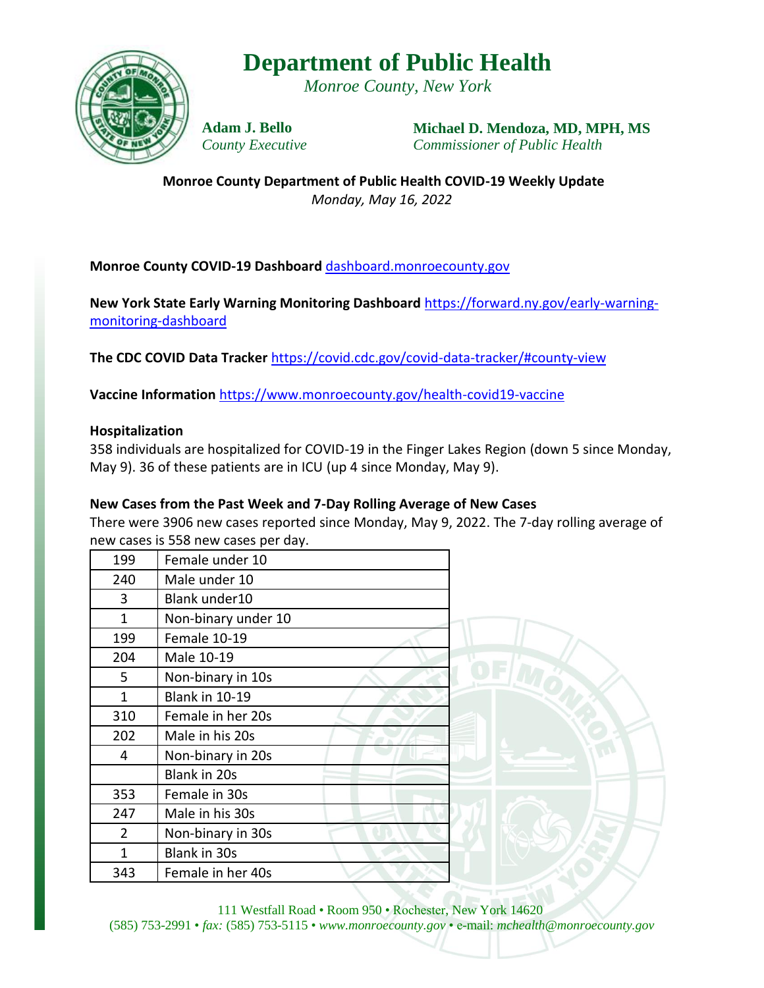# **Department of Public Health**

*Monroe County, New York*



**Adam J. Bello** *County Executive* **Michael D. Mendoza, MD, MPH, MS** *Commissioner of Public Health*

**Monroe County Department of Public Health COVID-19 Weekly Update** *Monday, May 16, 2022*

### **Monroe County COVID-19 Dashboard** [dashboard.monroecounty.gov](https://mappingmonroe.maps.arcgis.com/apps/opsdashboard/index.html#/217749730f174776a3896b3e8950e03b)

**New York State Early Warning Monitoring Dashboard** [https://forward.ny.gov/early-warning](https://forward.ny.gov/early-warning-monitoring-dashboard)[monitoring-dashboard](https://forward.ny.gov/early-warning-monitoring-dashboard)

**The CDC COVID Data Tracker** <https://covid.cdc.gov/covid-data-tracker/#county-view>

**Vaccine Information** <https://www.monroecounty.gov/health-covid19-vaccine>

#### **Hospitalization**

358 individuals are hospitalized for COVID-19 in the Finger Lakes Region (down 5 since Monday, May 9). 36 of these patients are in ICU (up 4 since Monday, May 9).

#### **New Cases from the Past Week and 7-Day Rolling Average of New Cases**

There were 3906 new cases reported since Monday, May 9, 2022. The 7-day rolling average of new cases is 558 new cases per day.

| 199            | Female under 10       |
|----------------|-----------------------|
| 240            | Male under 10         |
| 3              | Blank under10         |
| 1              | Non-binary under 10   |
| 199            | Female 10-19          |
| 204            | Male 10-19            |
| 5              | Non-binary in 10s     |
| 1              | <b>Blank in 10-19</b> |
| 310            | Female in her 20s     |
| 202            | Male in his 20s       |
| 4              | Non-binary in 20s     |
|                | Blank in 20s          |
| 353            | Female in 30s         |
| 247            | Male in his 30s       |
| $\overline{2}$ | Non-binary in 30s     |
| 1              | Blank in 30s          |
| 343            | Female in her 40s     |



111 Westfall Road • Room 950 • Rochester, New York 14620 (585) 753-2991 • *fax:* (585) 753-5115 • *www.monroecounty.gov* • e-mail: *mchealth@monroecounty.gov*